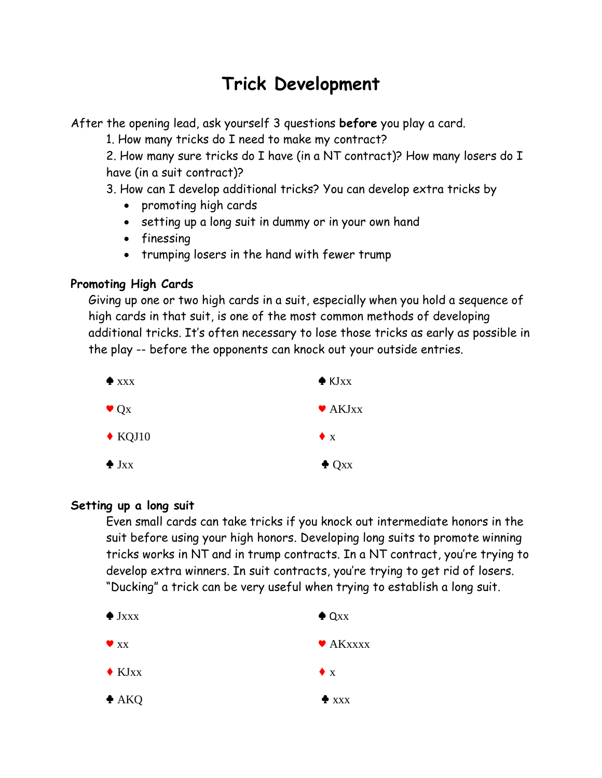# **Trick Development**

After the opening lead, ask yourself 3 questions **before** you play a card.

1. How many tricks do I need to make my contract?

2. How many sure tricks do I have (in a NT contract)? How many losers do I have (in a suit contract)?

3. How can I develop additional tricks? You can develop extra tricks by

- promoting high cards
- setting up a long suit in dummy or in your own hand
- finessing
- trumping losers in the hand with fewer trump

## **Promoting High Cards**

Giving up one or two high cards in a suit, especially when you hold a sequence of high cards in that suit, is one of the most common methods of developing additional tricks. It's often necessary to lose those tricks as early as possible in the play -- before the opponents can knock out your outside entries.



### **Setting up a long suit**

Even small cards can take tricks if you knock out intermediate honors in the suit before using your high honors. Developing long suits to promote winning tricks works in NT and in trump contracts. In a NT contract, you're trying to develop extra winners. In suit contracts, you're trying to get rid of losers. "Ducking" a trick can be very useful when trying to establish a long suit.

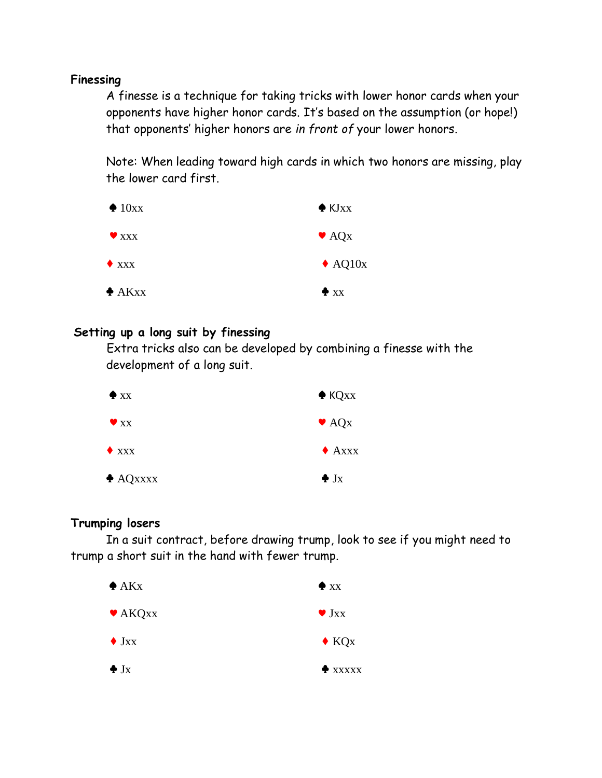#### **Finessing**

A finesse is a technique for taking tricks with lower honor cards when your opponents have higher honor cards. It's based on the assumption (or hope!) that opponents' higher honors are *in front of* your lower honors.

Note: When leading toward high cards in which two honors are missing, play the lower card first.



#### **Setting up a long suit by finessing**

Extra tricks also can be developed by combining a finesse with the development of a long suit.

| $\bullet$ xx        | $\triangle$ KQ <sub>xx</sub> |
|---------------------|------------------------------|
| $\bullet$ xx        | $\bullet$ AQ <sub>x</sub>    |
| $\blacklozenge$ xxx | $\triangle$ Axxx             |
| $\triangle$ AQxxxx  | $\bullet$ J <sub>X</sub>     |

#### **Trumping losers**

In a suit contract, before drawing trump, look to see if you might need to trump a short suit in the hand with fewer trump.